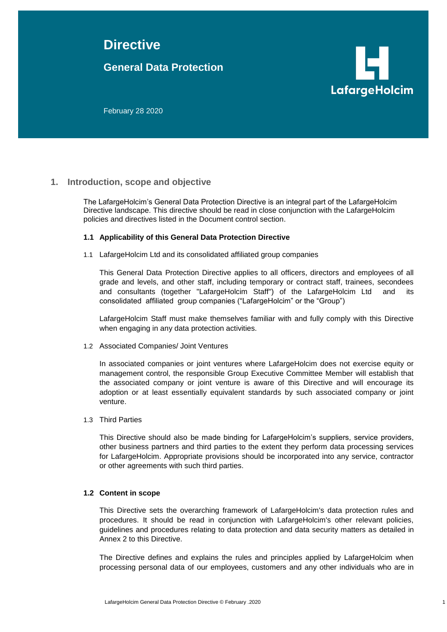# **Directive**

## **General Data Protection**



February 28 2020

## **1. Introduction, scope and objective**

The LafargeHolcim's General Data Protection Directive is an integral part of the LafargeHolcim Directive landscape. This directive should be read in close conjunction with the LafargeHolcim policies and directives listed in the Document control section.

### **1.1 Applicability of this General Data Protection Directive**

1.1 LafargeHolcim Ltd and its consolidated affiliated group companies

This General Data Protection Directive applies to all officers, directors and employees of all grade and levels, and other staff, including temporary or contract staff, trainees, secondees and consultants (together "LafargeHolcim Staff") of the LafargeHolcim Ltd and its consolidated affiliated group companies ("LafargeHolcim" or the "Group")

LafargeHolcim Staff must make themselves familiar with and fully comply with this Directive when engaging in any data protection activities.

1.2 Associated Companies/ Joint Ventures

In associated companies or joint ventures where LafargeHolcim does not exercise equity or management control, the responsible Group Executive Committee Member will establish that the associated company or joint venture is aware of this Directive and will encourage its adoption or at least essentially equivalent standards by such associated company or joint venture.

#### 1.3 Third Parties

This Directive should also be made binding for LafargeHolcim's suppliers, service providers, other business partners and third parties to the extent they perform data processing services for LafargeHolcim. Appropriate provisions should be incorporated into any service, contractor or other agreements with such third parties.

#### **1.2 Content in scope**

This Directive sets the overarching framework of LafargeHolcim's data protection rules and procedures. It should be read in conjunction with LafargeHolcim's other relevant policies, guidelines and procedures relating to data protection and data security matters as detailed in Annex 2 to this Directive.

The Directive defines and explains the rules and principles applied by LafargeHolcim when processing personal data of our employees, customers and any other individuals who are in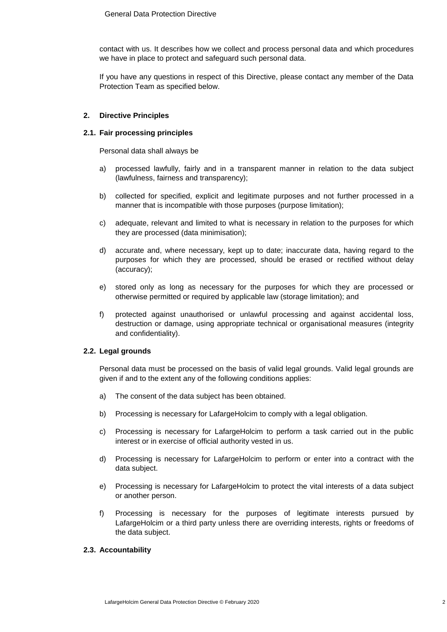contact with us. It describes how we collect and process personal data and which procedures we have in place to protect and safeguard such personal data.

If you have any questions in respect of this Directive, please contact any member of the Data Protection Team as specified below.

#### **2. Directive Principles**

#### **2.1. Fair processing principles**

Personal data shall always be

- a) processed lawfully, fairly and in a transparent manner in relation to the data subject (lawfulness, fairness and transparency);
- b) collected for specified, explicit and legitimate purposes and not further processed in a manner that is incompatible with those purposes (purpose limitation);
- c) adequate, relevant and limited to what is necessary in relation to the purposes for which they are processed (data minimisation);
- d) accurate and, where necessary, kept up to date; inaccurate data, having regard to the purposes for which they are processed, should be erased or rectified without delay (accuracy);
- e) stored only as long as necessary for the purposes for which they are processed or otherwise permitted or required by applicable law (storage limitation); and
- f) protected against unauthorised or unlawful processing and against accidental loss, destruction or damage, using appropriate technical or organisational measures (integrity and confidentiality).

## **2.2. Legal grounds**

Personal data must be processed on the basis of valid legal grounds. Valid legal grounds are given if and to the extent any of the following conditions applies:

- a) The consent of the data subject has been obtained.
- b) Processing is necessary for LafargeHolcim to comply with a legal obligation.
- c) Processing is necessary for LafargeHolcim to perform a task carried out in the public interest or in exercise of official authority vested in us.
- d) Processing is necessary for LafargeHolcim to perform or enter into a contract with the data subject.
- e) Processing is necessary for LafargeHolcim to protect the vital interests of a data subject or another person.
- f) Processing is necessary for the purposes of legitimate interests pursued by LafargeHolcim or a third party unless there are overriding interests, rights or freedoms of the data subject.

## **2.3. Accountability**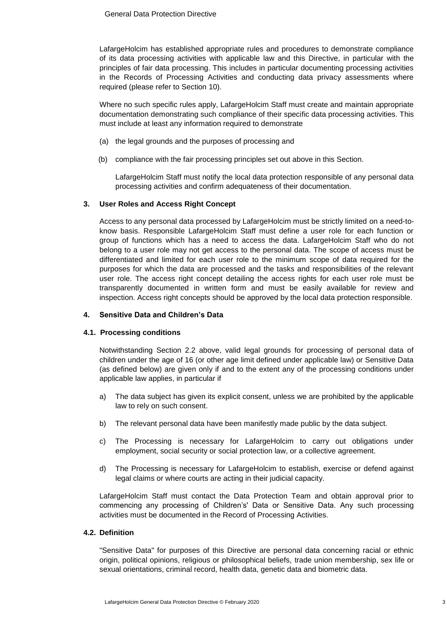LafargeHolcim has established appropriate rules and procedures to demonstrate compliance of its data processing activities with applicable law and this Directive, in particular with the principles of fair data processing. This includes in particular documenting processing activities in the Records of Processing Activities and conducting data privacy assessments where required (please refer to Section [10\)](#page-6-0).

Where no such specific rules apply, LafargeHolcim Staff must create and maintain appropriate documentation demonstrating such compliance of their specific data processing activities. This must include at least any information required to demonstrate

- (a) the legal grounds and the purposes of processing and
- (b) compliance with the fair processing principles set out above in this Section.

LafargeHolcim Staff must notify the local data protection responsible of any personal data processing activities and confirm adequateness of their documentation.

### **3. User Roles and Access Right Concept**

Access to any personal data processed by LafargeHolcim must be strictly limited on a need-toknow basis. Responsible LafargeHolcim Staff must define a user role for each function or group of functions which has a need to access the data. LafargeHolcim Staff who do not belong to a user role may not get access to the personal data. The scope of access must be differentiated and limited for each user role to the minimum scope of data required for the purposes for which the data are processed and the tasks and responsibilities of the relevant user role. The access right concept detailing the access rights for each user role must be transparently documented in written form and must be easily available for review and inspection. Access right concepts should be approved by the local data protection responsible.

## **4. Sensitive Data and Children's Data**

## **4.1. Processing conditions**

Notwithstanding Section 2.2 above, valid legal grounds for processing of personal data of children under the age of 16 (or other age limit defined under applicable law) or Sensitive Data (as defined below) are given only if and to the extent any of the processing conditions under applicable law applies, in particular if

- a) The data subject has given its explicit consent, unless we are prohibited by the applicable law to rely on such consent.
- b) The relevant personal data have been manifestly made public by the data subject.
- c) The Processing is necessary for LafargeHolcim to carry out obligations under employment, social security or social protection law, or a collective agreement.
- d) The Processing is necessary for LafargeHolcim to establish, exercise or defend against legal claims or where courts are acting in their judicial capacity.

LafargeHolcim Staff must contact the Data Protection Team and obtain approval prior to commencing any processing of Children's' Data or Sensitive Data. Any such processing activities must be documented in the Record of Processing Activities.

#### **4.2. Definition**

"Sensitive Data" for purposes of this Directive are personal data concerning racial or ethnic origin, political opinions, religious or philosophical beliefs, trade union membership, sex life or sexual orientations, criminal record, health data, genetic data and biometric data.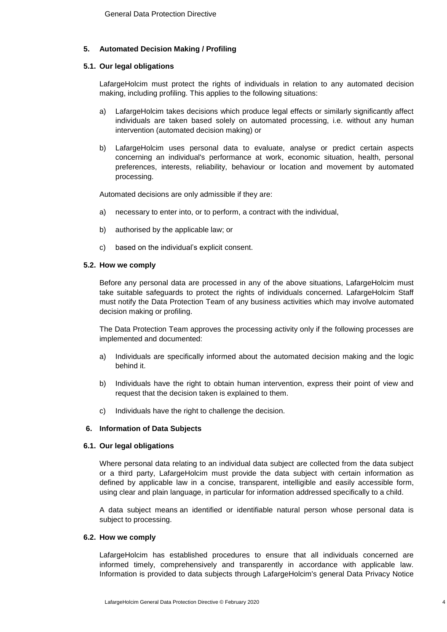## **5. Automated Decision Making / Profiling**

#### **5.1. Our legal obligations**

LafargeHolcim must protect the rights of individuals in relation to any automated decision making, including profiling. This applies to the following situations:

- a) LafargeHolcim takes decisions which produce legal effects or similarly significantly affect individuals are taken based solely on automated processing, i.e. without any human intervention (automated decision making) or
- b) LafargeHolcim uses personal data to evaluate, analyse or predict certain aspects concerning an individual's performance at work, economic situation, health, personal preferences, interests, reliability, behaviour or location and movement by automated processing.

Automated decisions are only admissible if they are:

- a) necessary to enter into, or to perform, a contract with the individual,
- b) authorised by the applicable law; or
- c) based on the individual's explicit consent.

#### **5.2. How we comply**

Before any personal data are processed in any of the above situations, LafargeHolcim must take suitable safeguards to protect the rights of individuals concerned. LafargeHolcim Staff must notify the Data Protection Team of any business activities which may involve automated decision making or profiling.

The Data Protection Team approves the processing activity only if the following processes are implemented and documented:

- a) Individuals are specifically informed about the automated decision making and the logic behind it.
- b) Individuals have the right to obtain human intervention, express their point of view and request that the decision taken is explained to them.
- c) Individuals have the right to challenge the decision.

#### **6. Information of Data Subjects**

#### **6.1. Our legal obligations**

Where personal data relating to an individual data subject are collected from the data subject or a third party, LafargeHolcim must provide the data subject with certain information as defined by applicable law in a concise, transparent, intelligible and easily accessible form, using clear and plain language, in particular for information addressed specifically to a child.

A data subject means an identified or identifiable natural person whose personal data is subject to processing.

#### **6.2. How we comply**

LafargeHolcim has established procedures to ensure that all individuals concerned are informed timely, comprehensively and transparently in accordance with applicable law. Information is provided to data subjects through LafargeHolcim's general Data Privacy Notice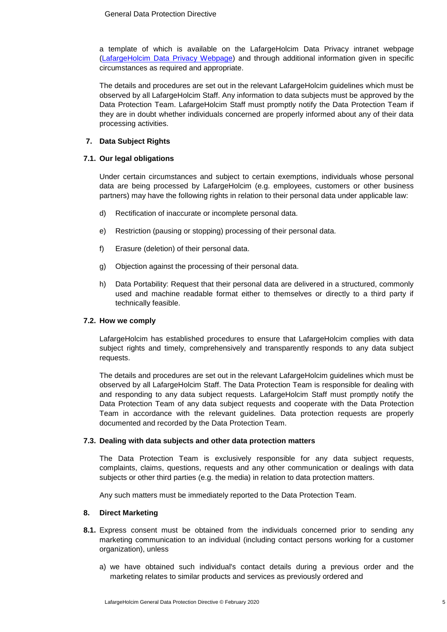a template of which is available on the LafargeHolcim Data Privacy intranet webpage [\(LafargeHolcim Data Privacy Webpage\)](https://connect.lafargeholcim.com/legal-compliance/policies) and through additional information given in specific circumstances as required and appropriate.

The details and procedures are set out in the relevant LafargeHolcim guidelines which must be observed by all LafargeHolcim Staff. Any information to data subjects must be approved by the Data Protection Team. LafargeHolcim Staff must promptly notify the Data Protection Team if they are in doubt whether individuals concerned are properly informed about any of their data processing activities.

## **7. Data Subject Rights**

### **7.1. Our legal obligations**

Under certain circumstances and subject to certain exemptions, individuals whose personal data are being processed by LafargeHolcim (e.g. employees, customers or other business partners) may have the following rights in relation to their personal data under applicable law:

- d) Rectification of inaccurate or incomplete personal data.
- e) Restriction (pausing or stopping) processing of their personal data.
- f) Erasure (deletion) of their personal data.
- g) Objection against the processing of their personal data.
- h) Data Portability: Request that their personal data are delivered in a structured, commonly used and machine readable format either to themselves or directly to a third party if technically feasible.

## **7.2. How we comply**

LafargeHolcim has established procedures to ensure that LafargeHolcim complies with data subject rights and timely, comprehensively and transparently responds to any data subject requests.

The details and procedures are set out in the relevant LafargeHolcim guidelines which must be observed by all LafargeHolcim Staff. The Data Protection Team is responsible for dealing with and responding to any data subject requests. LafargeHolcim Staff must promptly notify the Data Protection Team of any data subject requests and cooperate with the Data Protection Team in accordance with the relevant guidelines. Data protection requests are properly documented and recorded by the Data Protection Team.

#### **7.3. Dealing with data subjects and other data protection matters**

The Data Protection Team is exclusively responsible for any data subject requests, complaints, claims, questions, requests and any other communication or dealings with data subjects or other third parties (e.g. the media) in relation to data protection matters.

Any such matters must be immediately reported to the Data Protection Team.

#### **8. Direct Marketing**

- **8.1.** Express consent must be obtained from the individuals concerned prior to sending any marketing communication to an individual (including contact persons working for a customer organization), unless
	- a) we have obtained such individual's contact details during a previous order and the marketing relates to similar products and services as previously ordered and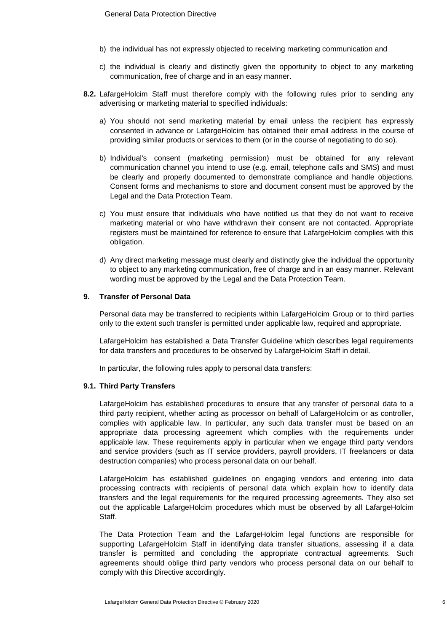- b) the individual has not expressly objected to receiving marketing communication and
- c) the individual is clearly and distinctly given the opportunity to object to any marketing communication, free of charge and in an easy manner.
- **8.2.** LafargeHolcim Staff must therefore comply with the following rules prior to sending any advertising or marketing material to specified individuals:
	- a) You should not send marketing material by email unless the recipient has expressly consented in advance or LafargeHolcim has obtained their email address in the course of providing similar products or services to them (or in the course of negotiating to do so).
	- b) Individual's consent (marketing permission) must be obtained for any relevant communication channel you intend to use (e.g. email, telephone calls and SMS) and must be clearly and properly documented to demonstrate compliance and handle objections. Consent forms and mechanisms to store and document consent must be approved by the Legal and the Data Protection Team.
	- c) You must ensure that individuals who have notified us that they do not want to receive marketing material or who have withdrawn their consent are not contacted. Appropriate registers must be maintained for reference to ensure that LafargeHolcim complies with this obligation.
	- d) Any direct marketing message must clearly and distinctly give the individual the opportunity to object to any marketing communication, free of charge and in an easy manner. Relevant wording must be approved by the Legal and the Data Protection Team.

#### **9. Transfer of Personal Data**

Personal data may be transferred to recipients within LafargeHolcim Group or to third parties only to the extent such transfer is permitted under applicable law, required and appropriate.

LafargeHolcim has established a Data Transfer Guideline which describes legal requirements for data transfers and procedures to be observed by LafargeHolcim Staff in detail.

In particular, the following rules apply to personal data transfers:

#### **9.1. Third Party Transfers**

LafargeHolcim has established procedures to ensure that any transfer of personal data to a third party recipient, whether acting as processor on behalf of LafargeHolcim or as controller, complies with applicable law. In particular, any such data transfer must be based on an appropriate data processing agreement which complies with the requirements under applicable law. These requirements apply in particular when we engage third party vendors and service providers (such as IT service providers, payroll providers, IT freelancers or data destruction companies) who process personal data on our behalf.

LafargeHolcim has established guidelines on engaging vendors and entering into data processing contracts with recipients of personal data which explain how to identify data transfers and the legal requirements for the required processing agreements. They also set out the applicable LafargeHolcim procedures which must be observed by all LafargeHolcim Staff.

The Data Protection Team and the LafargeHolcim legal functions are responsible for supporting LafargeHolcim Staff in identifying data transfer situations, assessing if a data transfer is permitted and concluding the appropriate contractual agreements. Such agreements should oblige third party vendors who process personal data on our behalf to comply with this Directive accordingly.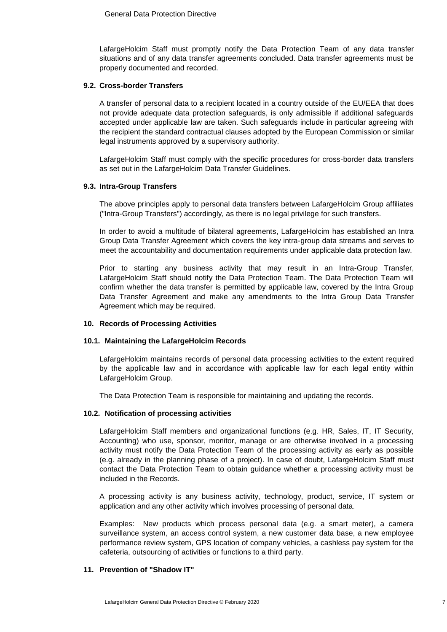LafargeHolcim Staff must promptly notify the Data Protection Team of any data transfer situations and of any data transfer agreements concluded. Data transfer agreements must be properly documented and recorded.

#### **9.2. Cross-border Transfers**

A transfer of personal data to a recipient located in a country outside of the EU/EEA that does not provide adequate data protection safeguards, is only admissible if additional safeguards accepted under applicable law are taken. Such safeguards include in particular agreeing with the recipient the standard contractual clauses adopted by the European Commission or similar legal instruments approved by a supervisory authority.

LafargeHolcim Staff must comply with the specific procedures for cross-border data transfers as set out in the LafargeHolcim Data Transfer Guidelines.

#### **9.3. Intra-Group Transfers**

The above principles apply to personal data transfers between LafargeHolcim Group affiliates ("Intra-Group Transfers") accordingly, as there is no legal privilege for such transfers.

In order to avoid a multitude of bilateral agreements, LafargeHolcim has established an Intra Group Data Transfer Agreement which covers the key intra-group data streams and serves to meet the accountability and documentation requirements under applicable data protection law.

Prior to starting any business activity that may result in an Intra-Group Transfer, LafargeHolcim Staff should notify the Data Protection Team. The Data Protection Team will confirm whether the data transfer is permitted by applicable law, covered by the Intra Group Data Transfer Agreement and make any amendments to the Intra Group Data Transfer Agreement which may be required.

#### <span id="page-6-0"></span>**10. Records of Processing Activities**

#### **10.1. Maintaining the LafargeHolcim Records**

LafargeHolcim maintains records of personal data processing activities to the extent required by the applicable law and in accordance with applicable law for each legal entity within LafargeHolcim Group.

The Data Protection Team is responsible for maintaining and updating the records.

#### **10.2. Notification of processing activities**

LafargeHolcim Staff members and organizational functions (e.g. HR, Sales, IT, IT Security, Accounting) who use, sponsor, monitor, manage or are otherwise involved in a processing activity must notify the Data Protection Team of the processing activity as early as possible (e.g. already in the planning phase of a project). In case of doubt, LafargeHolcim Staff must contact the Data Protection Team to obtain guidance whether a processing activity must be included in the Records.

A processing activity is any business activity, technology, product, service, IT system or application and any other activity which involves processing of personal data.

Examples: New products which process personal data (e.g. a smart meter), a camera surveillance system, an access control system, a new customer data base, a new employee performance review system, GPS location of company vehicles, a cashless pay system for the cafeteria, outsourcing of activities or functions to a third party.

#### **11. Prevention of "Shadow IT"**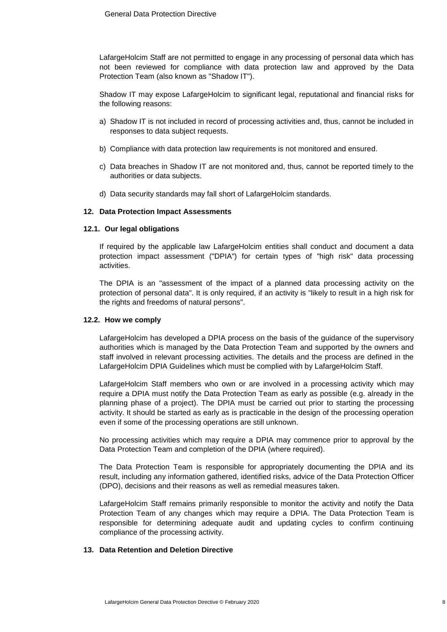LafargeHolcim Staff are not permitted to engage in any processing of personal data which has not been reviewed for compliance with data protection law and approved by the Data Protection Team (also known as "Shadow IT").

Shadow IT may expose LafargeHolcim to significant legal, reputational and financial risks for the following reasons:

- a) Shadow IT is not included in record of processing activities and, thus, cannot be included in responses to data subject requests.
- b) Compliance with data protection law requirements is not monitored and ensured.
- c) Data breaches in Shadow IT are not monitored and, thus, cannot be reported timely to the authorities or data subjects.
- d) Data security standards may fall short of LafargeHolcim standards.

#### **12. Data Protection Impact Assessments**

#### **12.1. Our legal obligations**

If required by the applicable law LafargeHolcim entities shall conduct and document a data protection impact assessment ("DPIA") for certain types of "high risk" data processing activities.

The DPIA is an "assessment of the impact of a planned data processing activity on the protection of personal data". It is only required, if an activity is "likely to result in a high risk for the rights and freedoms of natural persons".

#### **12.2. How we comply**

LafargeHolcim has developed a DPIA process on the basis of the guidance of the supervisory authorities which is managed by the Data Protection Team and supported by the owners and staff involved in relevant processing activities. The details and the process are defined in the LafargeHolcim DPIA Guidelines which must be complied with by LafargeHolcim Staff.

LafargeHolcim Staff members who own or are involved in a processing activity which may require a DPIA must notify the Data Protection Team as early as possible (e.g. already in the planning phase of a project). The DPIA must be carried out prior to starting the processing activity. It should be started as early as is practicable in the design of the processing operation even if some of the processing operations are still unknown.

No processing activities which may require a DPIA may commence prior to approval by the Data Protection Team and completion of the DPIA (where required).

The Data Protection Team is responsible for appropriately documenting the DPIA and its result, including any information gathered, identified risks, advice of the Data Protection Officer (DPO), decisions and their reasons as well as remedial measures taken.

LafargeHolcim Staff remains primarily responsible to monitor the activity and notify the Data Protection Team of any changes which may require a DPIA. The Data Protection Team is responsible for determining adequate audit and updating cycles to confirm continuing compliance of the processing activity.

#### **13. Data Retention and Deletion Directive**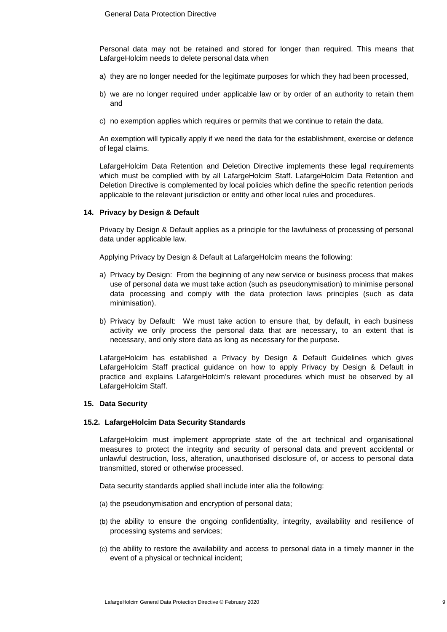Personal data may not be retained and stored for longer than required. This means that LafargeHolcim needs to delete personal data when

- a) they are no longer needed for the legitimate purposes for which they had been processed,
- b) we are no longer required under applicable law or by order of an authority to retain them and
- c) no exemption applies which requires or permits that we continue to retain the data.

An exemption will typically apply if we need the data for the establishment, exercise or defence of legal claims.

LafargeHolcim Data Retention and Deletion Directive implements these legal requirements which must be complied with by all LafargeHolcim Staff. LafargeHolcim Data Retention and Deletion Directive is complemented by local policies which define the specific retention periods applicable to the relevant jurisdiction or entity and other local rules and procedures.

#### **14. Privacy by Design & Default**

Privacy by Design & Default applies as a principle for the lawfulness of processing of personal data under applicable law.

Applying Privacy by Design & Default at LafargeHolcim means the following:

- a) Privacy by Design: From the beginning of any new service or business process that makes use of personal data we must take action (such as pseudonymisation) to minimise personal data processing and comply with the data protection laws principles (such as data minimisation).
- b) Privacy by Default: We must take action to ensure that, by default, in each business activity we only process the personal data that are necessary, to an extent that is necessary, and only store data as long as necessary for the purpose.

LafargeHolcim has established a Privacy by Design & Default Guidelines which gives LafargeHolcim Staff practical guidance on how to apply Privacy by Design & Default in practice and explains LafargeHolcim's relevant procedures which must be observed by all LafargeHolcim Staff.

#### **15. Data Security**

#### **15.2. LafargeHolcim Data Security Standards**

LafargeHolcim must implement appropriate state of the art technical and organisational measures to protect the integrity and security of personal data and prevent accidental or unlawful destruction, loss, alteration, unauthorised disclosure of, or access to personal data transmitted, stored or otherwise processed.

Data security standards applied shall include inter alia the following:

- (a) the pseudonymisation and encryption of personal data;
- (b) the ability to ensure the ongoing confidentiality, integrity, availability and resilience of processing systems and services;
- (c) the ability to restore the availability and access to personal data in a timely manner in the event of a physical or technical incident;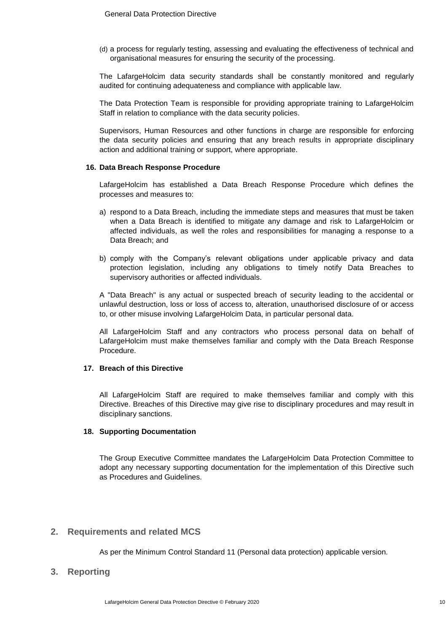(d) a process for regularly testing, assessing and evaluating the effectiveness of technical and organisational measures for ensuring the security of the processing.

The LafargeHolcim data security standards shall be constantly monitored and regularly audited for continuing adequateness and compliance with applicable law.

The Data Protection Team is responsible for providing appropriate training to LafargeHolcim Staff in relation to compliance with the data security policies.

Supervisors, Human Resources and other functions in charge are responsible for enforcing the data security policies and ensuring that any breach results in appropriate disciplinary action and additional training or support, where appropriate.

#### **16. Data Breach Response Procedure**

LafargeHolcim has established a Data Breach Response Procedure which defines the processes and measures to:

- a) respond to a Data Breach, including the immediate steps and measures that must be taken when a Data Breach is identified to mitigate any damage and risk to LafargeHolcim or affected individuals, as well the roles and responsibilities for managing a response to a Data Breach; and
- b) comply with the Company's relevant obligations under applicable privacy and data protection legislation, including any obligations to timely notify Data Breaches to supervisory authorities or affected individuals.

A "Data Breach" is any actual or suspected breach of security leading to the accidental or unlawful destruction, loss or loss of access to, alteration, unauthorised disclosure of or access to, or other misuse involving LafargeHolcim Data, in particular personal data.

All LafargeHolcim Staff and any contractors who process personal data on behalf of LafargeHolcim must make themselves familiar and comply with the Data Breach Response Procedure.

#### **17. Breach of this Directive**

All LafargeHolcim Staff are required to make themselves familiar and comply with this Directive. Breaches of this Directive may give rise to disciplinary procedures and may result in disciplinary sanctions.

#### **18. Supporting Documentation**

The Group Executive Committee mandates the LafargeHolcim Data Protection Committee to adopt any necessary supporting documentation for the implementation of this Directive such as Procedures and Guidelines.

## **2. Requirements and related MCS**

As per the Minimum Control Standard 11 (Personal data protection) applicable version.

**3. Reporting**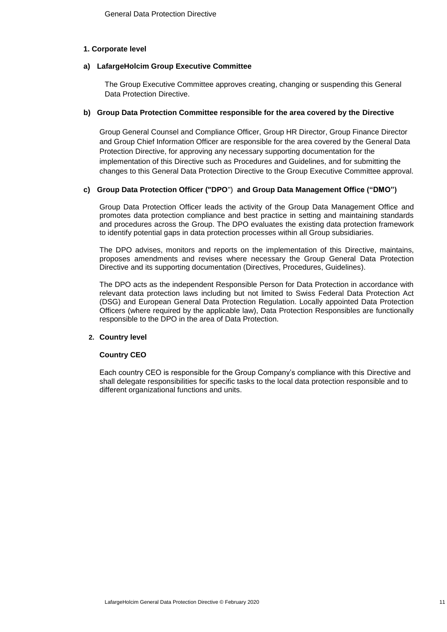#### **1. Corporate level**

#### **a) LafargeHolcim Group Executive Committee**

The Group Executive Committee approves creating, changing or suspending this General Data Protection Directive.

#### **b) Group Data Protection Committee responsible for the area covered by the Directive**

Group General Counsel and Compliance Officer, Group HR Director, Group Finance Director and Group Chief Information Officer are responsible for the area covered by the General Data Protection Directive, for approving any necessary supporting documentation for the implementation of this Directive such as Procedures and Guidelines, and for submitting the changes to this General Data Protection Directive to the Group Executive Committee approval.

#### **c) Group Data Protection Officer ("DPO**") **and Group Data Management Office ("DMO")**

Group Data Protection Officer leads the activity of the Group Data Management Office and promotes data protection compliance and best practice in setting and maintaining standards and procedures across the Group. The DPO evaluates the existing data protection framework to identify potential gaps in data protection processes within all Group subsidiaries.

The DPO advises, monitors and reports on the implementation of this Directive, maintains, proposes amendments and revises where necessary the Group General Data Protection Directive and its supporting documentation (Directives, Procedures, Guidelines).

The DPO acts as the independent Responsible Person for Data Protection in accordance with relevant data protection laws including but not limited to Swiss Federal Data Protection Act (DSG) and European General Data Protection Regulation. Locally appointed Data Protection Officers (where required by the applicable law), Data Protection Responsibles are functionally responsible to the DPO in the area of Data Protection.

#### **2. Country level**

#### **Country CEO**

Each country CEO is responsible for the Group Company's compliance with this Directive and shall delegate responsibilities for specific tasks to the local data protection responsible and to different organizational functions and units.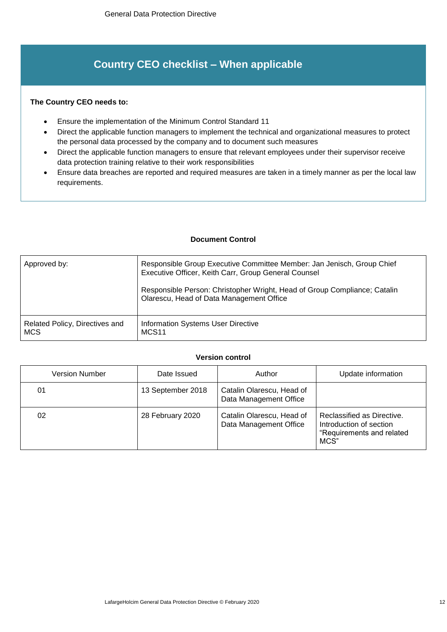# **Country CEO checklist – When applicable**

## **The Country CEO needs to:**

- Ensure the implementation of the Minimum Control Standard 11
- Direct the applicable function managers to implement the technical and organizational measures to protect the personal data processed by the company and to document such measures
- Direct the applicable function managers to ensure that relevant employees under their supervisor receive data protection training relative to their work responsibilities
- Ensure data breaches are reported and required measures are taken in a timely manner as per the local law requirements.

#### **Document Control**

| Approved by:                                 | Responsible Group Executive Committee Member: Jan Jenisch, Group Chief<br>Executive Officer, Keith Carr, Group General Counsel |  |
|----------------------------------------------|--------------------------------------------------------------------------------------------------------------------------------|--|
|                                              | Responsible Person: Christopher Wright, Head of Group Compliance; Catalin<br>Olarescu, Head of Data Management Office          |  |
| Related Policy, Directives and<br><b>MCS</b> | <b>Information Systems User Directive</b><br>MCS <sub>11</sub>                                                                 |  |

## **Version control**

| <b>Version Number</b> | Date Issued       | Author                                              | Update information                                                                         |
|-----------------------|-------------------|-----------------------------------------------------|--------------------------------------------------------------------------------------------|
| 01                    | 13 September 2018 | Catalin Olarescu, Head of<br>Data Management Office |                                                                                            |
| 02                    | 28 February 2020  | Catalin Olarescu, Head of<br>Data Management Office | Reclassified as Directive.<br>Introduction of section<br>"Requirements and related<br>MCS" |